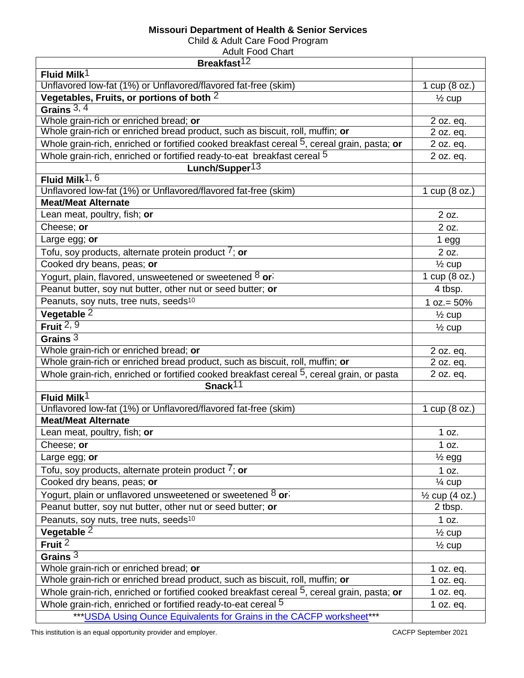## **Missouri Department of Health & Senior Services**

Child & Adult Care Food Program

| <b>Adult Food Chart</b>                                                                    |                           |
|--------------------------------------------------------------------------------------------|---------------------------|
| Breakfast <sup>12</sup>                                                                    |                           |
| Fluid Milk $1$                                                                             |                           |
| Unflavored low-fat (1%) or Unflavored/flavored fat-free (skim)                             | 1 cup $(8$ oz.)           |
| Vegetables, Fruits, or portions of both 2                                                  | $\frac{1}{2}$ cup         |
| Grains $3, 4$                                                                              |                           |
| Whole grain-rich or enriched bread; or                                                     | 2 oz. eq.                 |
| Whole grain-rich or enriched bread product, such as biscuit, roll, muffin; or              | 2 oz. eq.                 |
| Whole grain-rich, enriched or fortified cooked breakfast cereal 5, cereal grain, pasta; or | 2 oz. eq.                 |
| Whole grain-rich, enriched or fortified ready-to-eat breakfast cereal 5                    | 2 oz. eq.                 |
| Lunch/Supper <sup>13</sup>                                                                 |                           |
| Fluid Milk <sup>1, <math>6</math></sup>                                                    |                           |
| Unflavored low-fat (1%) or Unflavored/flavored fat-free (skim)                             | 1 cup $(8$ oz.)           |
| <b>Meat/Meat Alternate</b>                                                                 |                           |
| Lean meat, poultry, fish; or                                                               | 2 oz.                     |
| Cheese; or                                                                                 | 2 oz.                     |
| Large egg; or                                                                              | $1$ egg                   |
| Tofu, soy products, alternate protein product $7$ ; or                                     | 2 oz.                     |
| Cooked dry beans, peas; or                                                                 | $\frac{1}{2}$ cup         |
| Yogurt, plain, flavored, unsweetened or sweetened 8 or;                                    | 1 cup (8 oz.)             |
| Peanut butter, soy nut butter, other nut or seed butter; or                                | 4 tbsp.                   |
| Peanuts, soy nuts, tree nuts, seeds <sup>10</sup>                                          | $1 oz = 50%$              |
|                                                                                            |                           |
| Vegetable 2                                                                                | $\frac{1}{2}$ cup         |
| Fruit $2, 9$                                                                               | $\frac{1}{2}$ cup         |
| Grains $3$                                                                                 |                           |
| Whole grain-rich or enriched bread; or                                                     | 2 oz. eq.                 |
| Whole grain-rich or enriched bread product, such as biscuit, roll, muffin; or              | 2 oz. eq.                 |
| Whole grain-rich, enriched or fortified cooked breakfast cereal 5, cereal grain, or pasta  | 2 oz. eq.                 |
| Snack <sup>11</sup>                                                                        |                           |
| Fluid Milk <sup>1</sup>                                                                    |                           |
| Unflavored low-fat (1%) or Unflavored/flavored fat-free (skim)                             | 1 cup (8 oz.)             |
| <b>Meat/Meat Alternate</b>                                                                 |                           |
| Lean meat, poultry, fish; or                                                               | 1 oz.                     |
| Cheese; or                                                                                 | 1 oz.                     |
| Large egg; or                                                                              | $\frac{1}{2}$ egg         |
| Tofu, soy products, alternate protein product $\frac{7}{7}$ ; or                           | 1 oz.                     |
| Cooked dry beans, peas; or                                                                 | $\frac{1}{4}$ cup         |
| Yogurt, plain or unflavored unsweetened or sweetened 8 or;                                 | $\frac{1}{2}$ cup (4 oz.) |
| Peanut butter, soy nut butter, other nut or seed butter; or                                | 2 tbsp.                   |
| Peanuts, soy nuts, tree nuts, seeds <sup>10</sup>                                          | 1 oz.                     |
| Vegetable <sup>2</sup>                                                                     | $\frac{1}{2}$ cup         |
| Fruit $2$                                                                                  | $\frac{1}{2}$ cup         |
| Grains $3$                                                                                 |                           |
| Whole grain-rich or enriched bread; or                                                     | 1 oz. eq.                 |
| Whole grain-rich or enriched bread product, such as biscuit, roll, muffin; or              | 1 oz. $eq.$               |
| Whole grain-rich, enriched or fortified cooked breakfast cereal 5, cereal grain, pasta; or | 1 oz. $eq.$               |
| Whole grain-rich, enriched or fortified ready-to-eat cereal 5                              | 1 oz. eq.                 |
| *** USDA Using Ounce Equivalents for Grains in the CACFP worksheet***                      |                           |
|                                                                                            |                           |

This institution is an equal opportunity provider and employer.<br>
CACFP September 2021